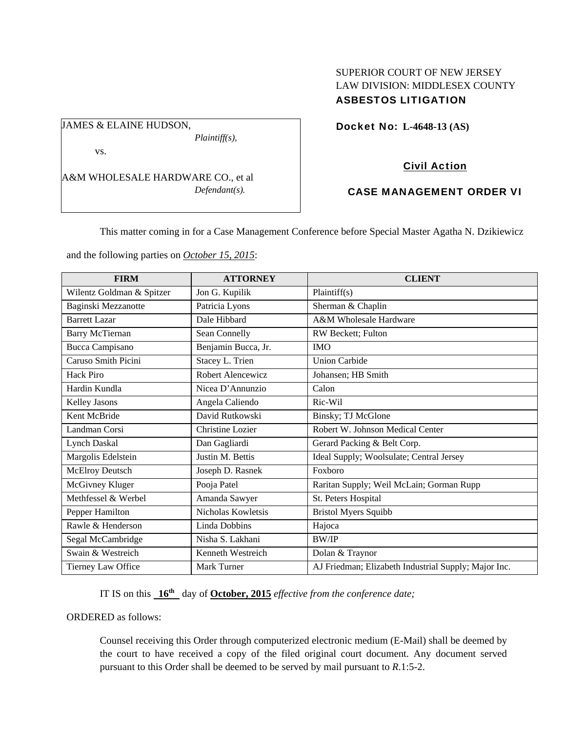## SUPERIOR COURT OF NEW JERSEY LAW DIVISION: MIDDLESEX COUNTY ASBESTOS LITIGATION

Docket No: **L-4648-13 (AS)** 

vs.

JAMES & ELAINE HUDSON,

A&M WHOLESALE HARDWARE CO., et al *Defendant(s).* 

*Plaintiff(s),* 

## Civil Action

## CASE MANAGEMENT ORDER VI

This matter coming in for a Case Management Conference before Special Master Agatha N. Dzikiewicz

and the following parties on *October 15, 2015*:

| <b>FIRM</b>               | <b>ATTORNEY</b>     | <b>CLIENT</b>                                        |
|---------------------------|---------------------|------------------------------------------------------|
| Wilentz Goldman & Spitzer | Jon G. Kupilik      | Plaintiff(s)                                         |
| Baginski Mezzanotte       | Patricia Lyons      | Sherman & Chaplin                                    |
| <b>Barrett Lazar</b>      | Dale Hibbard        | A&M Wholesale Hardware                               |
| <b>Barry McTiernan</b>    | Sean Connelly       | RW Beckett; Fulton                                   |
| <b>Bucca Campisano</b>    | Benjamin Bucca, Jr. | <b>IMO</b>                                           |
| Caruso Smith Picini       | Stacey L. Trien     | <b>Union Carbide</b>                                 |
| Hack Piro                 | Robert Alencewicz   | Johansen; HB Smith                                   |
| Hardin Kundla             | Nicea D'Annunzio    | Calon                                                |
| Kelley Jasons             | Angela Caliendo     | Ric-Wil                                              |
| Kent McBride              | David Rutkowski     | Binsky; TJ McGlone                                   |
| Landman Corsi             | Christine Lozier    | Robert W. Johnson Medical Center                     |
| <b>Lynch Daskal</b>       | Dan Gagliardi       | Gerard Packing & Belt Corp.                          |
| Margolis Edelstein        | Justin M. Bettis    | Ideal Supply; Woolsulate; Central Jersey             |
| McElroy Deutsch           | Joseph D. Rasnek    | Foxboro                                              |
| McGivney Kluger           | Pooja Patel         | Raritan Supply; Weil McLain; Gorman Rupp             |
| Methfessel & Werbel       | Amanda Sawyer       | St. Peters Hospital                                  |
| Pepper Hamilton           | Nicholas Kowletsis  | <b>Bristol Myers Squibb</b>                          |
| Rawle & Henderson         | Linda Dobbins       | Hajoca                                               |
| Segal McCambridge         | Nisha S. Lakhani    | <b>BW/IP</b>                                         |
| Swain & Westreich         | Kenneth Westreich   | Dolan & Traynor                                      |
| Tierney Law Office        | Mark Turner         | AJ Friedman; Elizabeth Industrial Supply; Major Inc. |

IT IS on this **16th** day of **October, 2015** *effective from the conference date;*

ORDERED as follows:

Counsel receiving this Order through computerized electronic medium (E-Mail) shall be deemed by the court to have received a copy of the filed original court document. Any document served pursuant to this Order shall be deemed to be served by mail pursuant to *R*.1:5-2.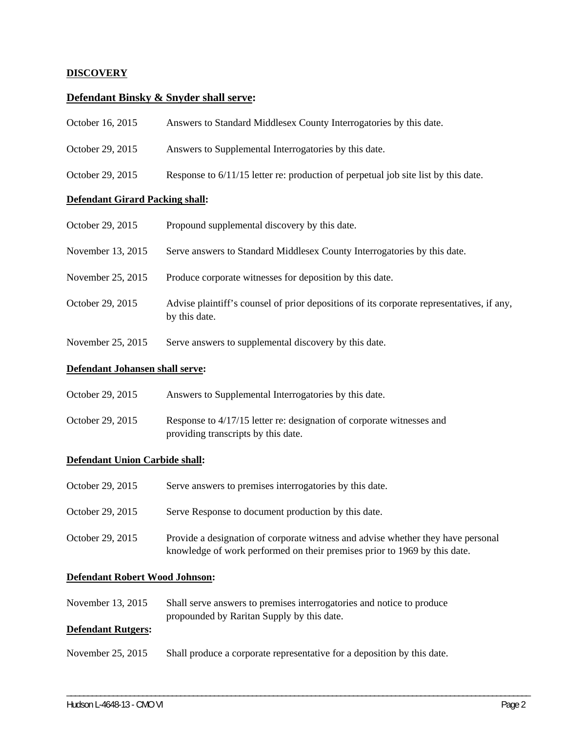### **DISCOVERY**

## **Defendant Binsky & Snyder shall serve:**

| October 16, 2015                       | Answers to Standard Middlesex County Interrogatories by this date.                                         |  |  |
|----------------------------------------|------------------------------------------------------------------------------------------------------------|--|--|
| October 29, 2015                       | Answers to Supplemental Interrogatories by this date.                                                      |  |  |
| October 29, 2015                       | Response to 6/11/15 letter re: production of perpetual job site list by this date.                         |  |  |
| <b>Defendant Girard Packing shall:</b> |                                                                                                            |  |  |
| October 29, 2015                       | Propound supplemental discovery by this date.                                                              |  |  |
| November 13, 2015                      | Serve answers to Standard Middlesex County Interrogatories by this date.                                   |  |  |
| November 25, 2015                      | Produce corporate witnesses for deposition by this date.                                                   |  |  |
| October 29, 2015                       | Advise plaintiff's counsel of prior depositions of its corporate representatives, if any,<br>by this date. |  |  |
| November 25, 2015                      | Serve answers to supplemental discovery by this date.                                                      |  |  |
| Defendant Johansen shall serve:        |                                                                                                            |  |  |

| October 29, 2015 | Answers to Supplemental Interrogatories by this date. |
|------------------|-------------------------------------------------------|
|                  |                                                       |

October 29, 2015 Response to 4/17/15 letter re: designation of corporate witnesses and providing transcripts by this date.

#### **Defendant Union Carbide shall:**

| October 29, 2015 | Serve answers to premises interrogatories by this date.                                                                                                       |
|------------------|---------------------------------------------------------------------------------------------------------------------------------------------------------------|
| October 29, 2015 | Serve Response to document production by this date.                                                                                                           |
| October 29, 2015 | Provide a designation of corporate witness and advise whether they have personal<br>knowledge of work performed on their premises prior to 1969 by this date. |

#### **Defendant Robert Wood Johnson:**

November 13, 2015 Shall serve answers to premises interrogatories and notice to produce propounded by Raritan Supply by this date.

## **Defendant Rutgers:**

November 25, 2015 Shall produce a corporate representative for a deposition by this date.

\_\_\_\_\_\_\_\_\_\_\_\_\_\_\_\_\_\_\_\_\_\_\_\_\_\_\_\_\_\_\_\_\_\_\_\_\_\_\_\_\_\_\_\_\_\_\_\_\_\_\_\_\_\_\_\_\_\_\_\_\_\_\_\_\_\_\_\_\_\_\_\_\_\_\_\_\_\_\_\_\_\_\_\_\_\_\_\_\_\_\_\_\_\_\_\_\_\_\_\_\_\_\_\_\_\_\_\_\_\_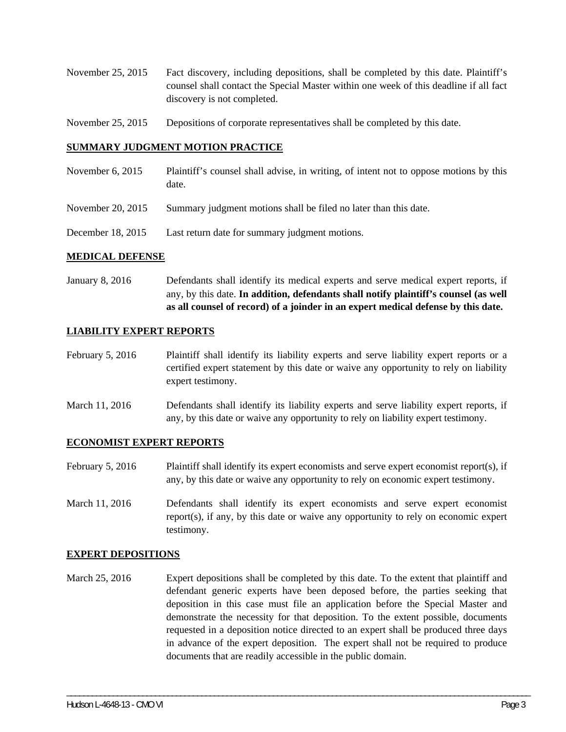- November 25, 2015 Fact discovery, including depositions, shall be completed by this date. Plaintiff's counsel shall contact the Special Master within one week of this deadline if all fact discovery is not completed.
- November 25, 2015 Depositions of corporate representatives shall be completed by this date.

#### **SUMMARY JUDGMENT MOTION PRACTICE**

- November 6, 2015 Plaintiff's counsel shall advise, in writing, of intent not to oppose motions by this date.
- November 20, 2015 Summary judgment motions shall be filed no later than this date.
- December 18, 2015 Last return date for summary judgment motions.

#### **MEDICAL DEFENSE**

January 8, 2016 Defendants shall identify its medical experts and serve medical expert reports, if any, by this date. **In addition, defendants shall notify plaintiff's counsel (as well as all counsel of record) of a joinder in an expert medical defense by this date.** 

#### **LIABILITY EXPERT REPORTS**

- February 5, 2016 Plaintiff shall identify its liability experts and serve liability expert reports or a certified expert statement by this date or waive any opportunity to rely on liability expert testimony.
- March 11, 2016 Defendants shall identify its liability experts and serve liability expert reports, if any, by this date or waive any opportunity to rely on liability expert testimony.

#### **ECONOMIST EXPERT REPORTS**

- February 5, 2016 Plaintiff shall identify its expert economists and serve expert economist report(s), if any, by this date or waive any opportunity to rely on economic expert testimony.
- March 11, 2016 Defendants shall identify its expert economists and serve expert economist report(s), if any, by this date or waive any opportunity to rely on economic expert testimony.

#### **EXPERT DEPOSITIONS**

March 25, 2016 Expert depositions shall be completed by this date. To the extent that plaintiff and defendant generic experts have been deposed before, the parties seeking that deposition in this case must file an application before the Special Master and demonstrate the necessity for that deposition. To the extent possible, documents requested in a deposition notice directed to an expert shall be produced three days in advance of the expert deposition. The expert shall not be required to produce documents that are readily accessible in the public domain.

\_\_\_\_\_\_\_\_\_\_\_\_\_\_\_\_\_\_\_\_\_\_\_\_\_\_\_\_\_\_\_\_\_\_\_\_\_\_\_\_\_\_\_\_\_\_\_\_\_\_\_\_\_\_\_\_\_\_\_\_\_\_\_\_\_\_\_\_\_\_\_\_\_\_\_\_\_\_\_\_\_\_\_\_\_\_\_\_\_\_\_\_\_\_\_\_\_\_\_\_\_\_\_\_\_\_\_\_\_\_